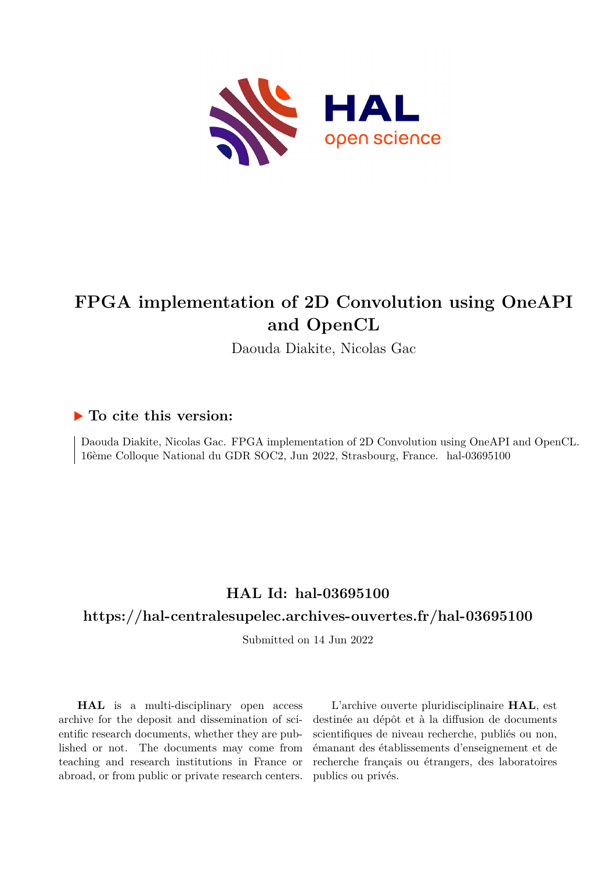

## **FPGA implementation of 2D Convolution using OneAPI and OpenCL**

Daouda Diakite, Nicolas Gac

### **To cite this version:**

Daouda Diakite, Nicolas Gac. FPGA implementation of 2D Convolution using OneAPI and OpenCL. 16ème Colloque National du GDR SOC2, Jun 2022, Strasbourg, France. hal-03695100

## **HAL Id: hal-03695100**

## **<https://hal-centralesupelec.archives-ouvertes.fr/hal-03695100>**

Submitted on 14 Jun 2022

**HAL** is a multi-disciplinary open access archive for the deposit and dissemination of scientific research documents, whether they are published or not. The documents may come from teaching and research institutions in France or abroad, or from public or private research centers.

L'archive ouverte pluridisciplinaire **HAL**, est destinée au dépôt et à la diffusion de documents scientifiques de niveau recherche, publiés ou non, émanant des établissements d'enseignement et de recherche français ou étrangers, des laboratoires publics ou privés.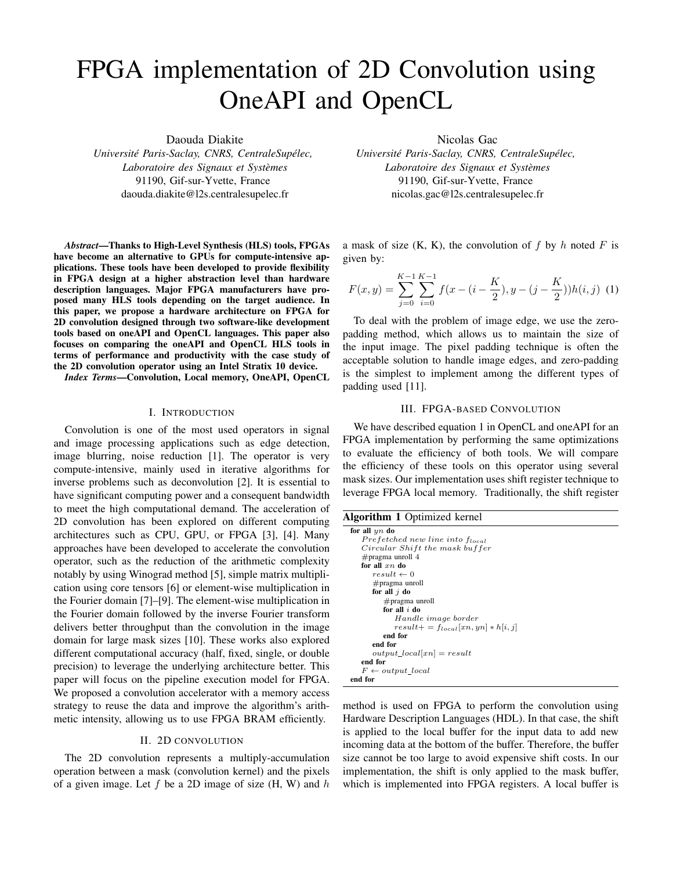# FPGA implementation of 2D Convolution using OneAPI and OpenCL

Daouda Diakite

*Université Paris-Saclay, CNRS, CentraleSupélec, Laboratoire des Signaux et Systemes `* 91190, Gif-sur-Yvette, France daouda.diakite@l2s.centralesupelec.fr

*Abstract*—Thanks to High-Level Synthesis (HLS) tools, FPGAs have become an alternative to GPUs for compute-intensive applications. These tools have been developed to provide flexibility in FPGA design at a higher abstraction level than hardware description languages. Major FPGA manufacturers have proposed many HLS tools depending on the target audience. In this paper, we propose a hardware architecture on FPGA for 2D convolution designed through two software-like development tools based on oneAPI and OpenCL languages. This paper also focuses on comparing the oneAPI and OpenCL HLS tools in terms of performance and productivity with the case study of the 2D convolution operator using an Intel Stratix 10 device.

*Index Terms*—Convolution, Local memory, OneAPI, OpenCL

#### I. INTRODUCTION

Convolution is one of the most used operators in signal and image processing applications such as edge detection, image blurring, noise reduction [1]. The operator is very compute-intensive, mainly used in iterative algorithms for inverse problems such as deconvolution [2]. It is essential to have significant computing power and a consequent bandwidth to meet the high computational demand. The acceleration of 2D convolution has been explored on different computing architectures such as CPU, GPU, or FPGA [3], [4]. Many approaches have been developed to accelerate the convolution operator, such as the reduction of the arithmetic complexity notably by using Winograd method [5], simple matrix multiplication using core tensors [6] or element-wise multiplication in the Fourier domain [7]–[9]. The element-wise multiplication in the Fourier domain followed by the inverse Fourier transform delivers better throughput than the convolution in the image domain for large mask sizes [10]. These works also explored different computational accuracy (half, fixed, single, or double precision) to leverage the underlying architecture better. This paper will focus on the pipeline execution model for FPGA. We proposed a convolution accelerator with a memory access strategy to reuse the data and improve the algorithm's arithmetic intensity, allowing us to use FPGA BRAM efficiently.

#### II. 2D CONVOLUTION

The 2D convolution represents a multiply-accumulation operation between a mask (convolution kernel) and the pixels of a given image. Let f be a 2D image of size  $(H, W)$  and h Nicolas Gac

*Université Paris-Saclay, CNRS, CentraleSupélec, Laboratoire des Signaux et Systemes `* 91190, Gif-sur-Yvette, France nicolas.gac@l2s.centralesupelec.fr

a mask of size  $(K, K)$ , the convolution of f by h noted F is given by:

$$
F(x,y) = \sum_{j=0}^{K-1} \sum_{i=0}^{K-1} f(x - (i - \frac{K}{2}), y - (j - \frac{K}{2}))h(i,j)
$$
 (1)

To deal with the problem of image edge, we use the zeropadding method, which allows us to maintain the size of the input image. The pixel padding technique is often the acceptable solution to handle image edges, and zero-padding is the simplest to implement among the different types of padding used [11].

#### III. FPGA-BASED CONVOLUTION

We have described equation 1 in OpenCL and oneAPI for an FPGA implementation by performing the same optimizations to evaluate the efficiency of both tools. We will compare the efficiency of these tools on this operator using several mask sizes. Our implementation uses shift register technique to leverage FPGA local memory. Traditionally, the shift register

Algorithm 1 Optimized kernel

| $\sim$                                      |
|---------------------------------------------|
| for all $yn$ do                             |
| Prefetched new line into f <sub>local</sub> |
| Circular Shift the mask buffer              |
| $\#$ pragma unroll 4                        |
| for all $xn$ do                             |
| $result \leftarrow 0$                       |
| $\#$ pragma unroll                          |
| for all $i$ do                              |
| $\#$ pragma unroll                          |
| for all $i$ do                              |
| Handle image border                         |
| $result+=f_{local}[xn,yn]*h[i,j]$           |
| end for                                     |
| end for                                     |
| $output\_local[xn] = result$                |
| end for                                     |
| $F \leftarrow output\_local$                |
| end for                                     |

method is used on FPGA to perform the convolution using Hardware Description Languages (HDL). In that case, the shift is applied to the local buffer for the input data to add new incoming data at the bottom of the buffer. Therefore, the buffer size cannot be too large to avoid expensive shift costs. In our implementation, the shift is only applied to the mask buffer, which is implemented into FPGA registers. A local buffer is